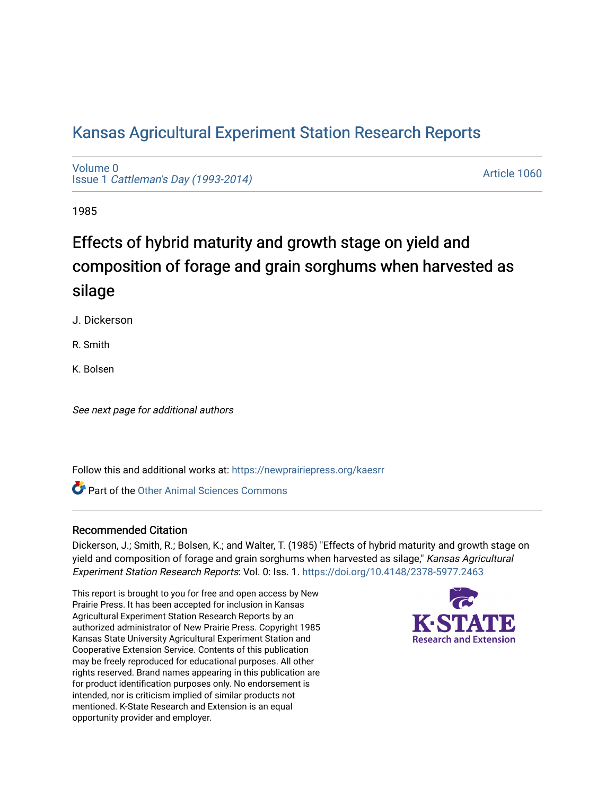# [Kansas Agricultural Experiment Station Research Reports](https://newprairiepress.org/kaesrr)

[Volume 0](https://newprairiepress.org/kaesrr/vol0) Issue 1 [Cattleman's Day \(1993-2014\)](https://newprairiepress.org/kaesrr/vol0/iss1) 

[Article 1060](https://newprairiepress.org/kaesrr/vol0/iss1/1060) 

1985

# Effects of hybrid maturity and growth stage on yield and composition of forage and grain sorghums when harvested as silage

J. Dickerson

R. Smith

K. Bolsen

See next page for additional authors

Follow this and additional works at: [https://newprairiepress.org/kaesrr](https://newprairiepress.org/kaesrr?utm_source=newprairiepress.org%2Fkaesrr%2Fvol0%2Fiss1%2F1060&utm_medium=PDF&utm_campaign=PDFCoverPages) 

**C** Part of the [Other Animal Sciences Commons](http://network.bepress.com/hgg/discipline/82?utm_source=newprairiepress.org%2Fkaesrr%2Fvol0%2Fiss1%2F1060&utm_medium=PDF&utm_campaign=PDFCoverPages)

## Recommended Citation

Dickerson, J.; Smith, R.; Bolsen, K.; and Walter, T. (1985) "Effects of hybrid maturity and growth stage on yield and composition of forage and grain sorghums when harvested as silage," Kansas Agricultural Experiment Station Research Reports: Vol. 0: Iss. 1. <https://doi.org/10.4148/2378-5977.2463>

This report is brought to you for free and open access by New Prairie Press. It has been accepted for inclusion in Kansas Agricultural Experiment Station Research Reports by an authorized administrator of New Prairie Press. Copyright 1985 Kansas State University Agricultural Experiment Station and Cooperative Extension Service. Contents of this publication may be freely reproduced for educational purposes. All other rights reserved. Brand names appearing in this publication are for product identification purposes only. No endorsement is intended, nor is criticism implied of similar products not mentioned. K-State Research and Extension is an equal opportunity provider and employer.

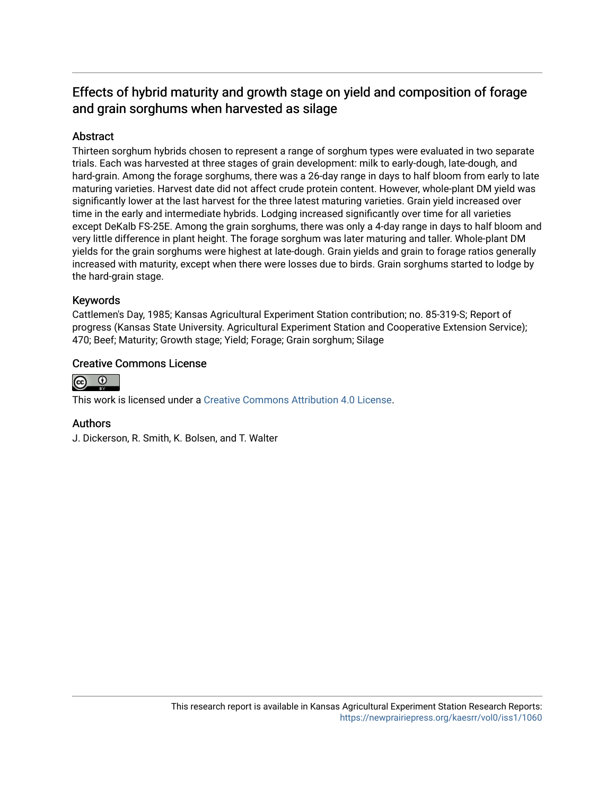## Effects of hybrid maturity and growth stage on yield and composition of forage and grain sorghums when harvested as silage

## Abstract

Thirteen sorghum hybrids chosen to represent a range of sorghum types were evaluated in two separate trials. Each was harvested at three stages of grain development: milk to early-dough, late-dough, and hard-grain. Among the forage sorghums, there was a 26-day range in days to half bloom from early to late maturing varieties. Harvest date did not affect crude protein content. However, whole-plant DM yield was significantly lower at the last harvest for the three latest maturing varieties. Grain yield increased over time in the early and intermediate hybrids. Lodging increased significantly over time for all varieties except DeKalb FS-25E. Among the grain sorghums, there was only a 4-day range in days to half bloom and very little difference in plant height. The forage sorghum was later maturing and taller. Whole-plant DM yields for the grain sorghums were highest at late-dough. Grain yields and grain to forage ratios generally increased with maturity, except when there were losses due to birds. Grain sorghums started to lodge by the hard-grain stage.

## Keywords

Cattlemen's Day, 1985; Kansas Agricultural Experiment Station contribution; no. 85-319-S; Report of progress (Kansas State University. Agricultural Experiment Station and Cooperative Extension Service); 470; Beef; Maturity; Growth stage; Yield; Forage; Grain sorghum; Silage

## Creative Commons License



This work is licensed under a [Creative Commons Attribution 4.0 License](https://creativecommons.org/licenses/by/4.0/).

## Authors

J. Dickerson, R. Smith, K. Bolsen, and T. Walter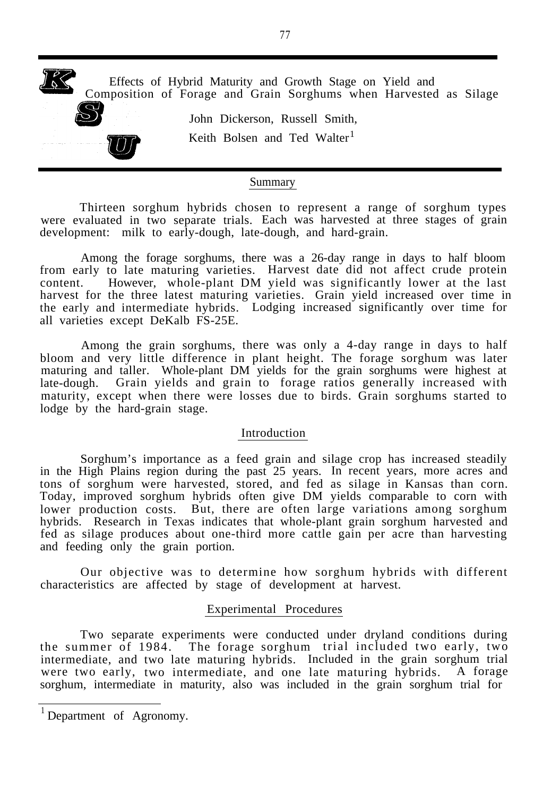

### Summary

Thirteen sorghum hybrids chosen to represent a range of sorghum types were evaluated in two separate trials. Each was harvested at three stages of grain development: milk to early-dough, late-dough, and hard-grain.

Among the forage sorghums, there was a 26-day range in days to half bloom from early to late maturing varieties. Harvest date did not affect crude protein content. However, whole-plant DM yield was significantly lower at the last harvest for the three latest maturing varieties. Grain yield increased over time in the early and intermediate hybrids. Lodging increased significantly over time for all varieties except DeKalb FS-25E.

Among the grain sorghums, there was only a 4-day range in days to half bloom and very little difference in plant height. The forage sorghum was later maturing and taller. Whole-plant DM yields for the grain sorghums were highest at late-dough. Grain yields and grain to forage ratios generally increased with maturity, except when there were losses due to birds. Grain sorghums started to lodge by the hard-grain stage.

#### Introduction

Sorghum's importance as a feed grain and silage crop has increased steadily in the High Plains region during the past 25 years. In recent years, more acres and tons of sorghum were harvested, stored, and fed as silage in Kansas than corn. Today, improved sorghum hybrids often give DM yields comparable to corn with lower production costs. But, there are often large variations among sorghum hybrids. Research in Texas indicates that whole-plant grain sorghum harvested and fed as silage produces about one-third more cattle gain per acre than harvesting and feeding only the grain portion.

Our objective was to determine how sorghum hybrids with different characteristics are affected by stage of development at harvest.

#### Experimental Procedures

Two separate experiments were conducted under dryland conditions during the summer of 1984. The forage sorghum trial included two early, two intermediate, and two late maturing hybrids. Included in the grain sorghum trial were two early, two intermediate, and one late maturing hybrids. A forage sorghum, intermediate in maturity, also was included in the grain sorghum trial for

<sup>&</sup>lt;sup>1</sup> Department of Agronomy.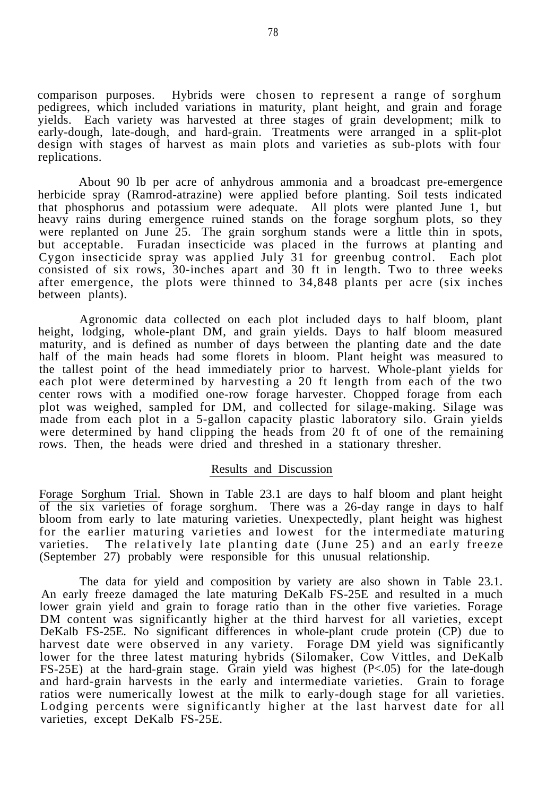comparison purposes. Hybrids were chosen to represent a range of sorghum pedigrees, which included variations in maturity, plant height, and grain and forage yields. Each variety was harvested at three stages of grain development; milk to early-dough, late-dough, and hard-grain. Treatments were arranged in a split-plot design with stages of harvest as main plots and varieties as sub-plots with four replications.

About 90 lb per acre of anhydrous ammonia and a broadcast pre-emergence herbicide spray (Ramrod-atrazine) were applied before planting. Soil tests indicated that phosphorus and potassium were adequate. All plots were planted June 1, but heavy rains during emergence ruined stands on the forage sorghum plots, so they were replanted on June 25. The grain sorghum stands were a little thin in spots, but acceptable. Furadan insecticide was placed in the furrows at planting and Cygon insecticide spray was applied July 31 for greenbug control. Each plot consisted of six rows, 30-inches apart and 30 ft in length. Two to three weeks after emergence, the plots were thinned to 34,848 plants per acre (six inches between plants).

Agronomic data collected on each plot included days to half bloom, plant height, lodging, whole-plant DM, and grain yields. Days to half bloom measured maturity, and is defined as number of days between the planting date and the date half of the main heads had some florets in bloom. Plant height was measured to the tallest point of the head immediately prior to harvest. Whole-plant yields for each plot were determined by harvesting a 20 ft length from each of the two center rows with a modified one-row forage harvester. Chopped forage from each plot was weighed, sampled for DM, and collected for silage-making. Silage was made from each plot in a 5-gallon capacity plastic laboratory silo. Grain yields were determined by hand clipping the heads from 20 ft of one of the remaining rows. Then, the heads were dried and threshed in a stationary thresher.

#### Results and Discussion

Forage Sorghum Trial. Shown in Table 23.1 are days to half bloom and plant height of the six varieties of forage sorghum. There was a 26-day range in days to half bloom from early to late maturing varieties. Unexpectedly, plant height was highest for the earlier maturing varieties and lowest for the intermediate maturing varieties. The relatively late planting date (June 25) and an early freeze (September 27) probably were responsible for this unusual relationship.

The data for yield and composition by variety are also shown in Table 23.1. An early freeze damaged the late maturing DeKalb FS-25E and resulted in a much lower grain yield and grain to forage ratio than in the other five varieties. Forage DM content was significantly higher at the third harvest for all varieties, except DeKalb FS-25E. No significant differences in whole-plant crude protein (CP) due to harvest date were observed in any variety. Forage DM yield was significantly lower for the three latest maturing hybrids (Silomaker, Cow Vittles, and DeKalb FS-25E) at the hard-grain stage. Grain yield was highest (P<.05) for the late-dough and hard-grain harvests in the early and intermediate varieties. Grain to forage ratios were numerically lowest at the milk to early-dough stage for all varieties. Lodging percents were significantly higher at the last harvest date for all varieties, except DeKalb FS-25E.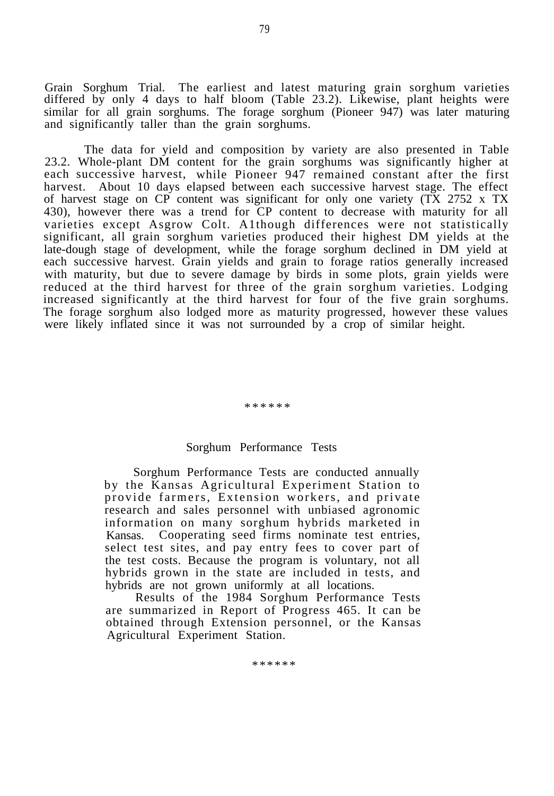Grain Sorghum Trial. The earliest and latest maturing grain sorghum varieties differed by only 4 days to half bloom (Table 23.2). Likewise, plant heights were similar for all grain sorghums. The forage sorghum (Pioneer 947) was later maturing and significantly taller than the grain sorghums.

The data for yield and composition by variety are also presented in Table 23.2. Whole-plant DM content for the grain sorghums was significantly higher at each successive harvest, while Pioneer 947 remained constant after the first harvest. About 10 days elapsed between each successive harvest stage. The effect of harvest stage on CP content was significant for only one variety (TX 2752 x TX 430), however there was a trend for CP content to decrease with maturity for all varieties except Asgrow Colt. A1though differences were not statistically significant, all grain sorghum varieties produced their highest DM yields at the late-dough stage of development, while the forage sorghum declined in DM yield at each successive harvest. Grain yields and grain to forage ratios generally increased with maturity, but due to severe damage by birds in some plots, grain yields were reduced at the third harvest for three of the grain sorghum varieties. Lodging increased significantly at the third harvest for four of the five grain sorghums. The forage sorghum also lodged more as maturity progressed, however these values were likely inflated since it was not surrounded by a crop of similar height.

#### \*\*\*\*\*\*

#### Sorghum Performance Tests

Sorghum Performance Tests are conducted annually by the Kansas Agricultural Experiment Station to provide farmers, Extension workers, and private research and sales personnel with unbiased agronomic information on many sorghum hybrids marketed in Kansas. Cooperating seed firms nominate test entries, select test sites, and pay entry fees to cover part of the test costs. Because the program is voluntary, not all hybrids grown in the state are included in tests, and hybrids are not grown uniformly at all locations.

Results of the 1984 Sorghum Performance Tests are summarized in Report of Progress 465. It can be obtained through Extension personnel, or the Kansas Agricultural Experiment Station.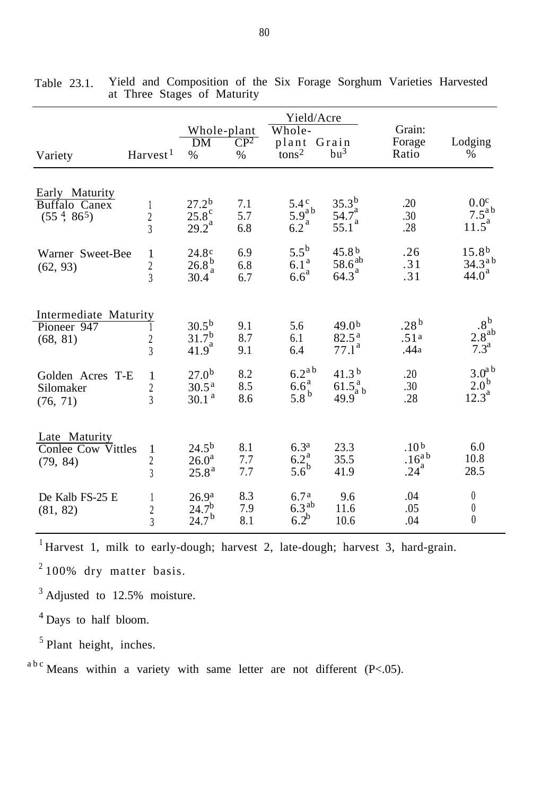|                                                                   |                                             | Whole-plant<br>CP <sup>2</sup>                               |                   | Yield/Acre<br>Whole-<br>plant Grain               |                                                               | Grain:<br>Forage                                | Lodging                                                       |
|-------------------------------------------------------------------|---------------------------------------------|--------------------------------------------------------------|-------------------|---------------------------------------------------|---------------------------------------------------------------|-------------------------------------------------|---------------------------------------------------------------|
| Variety                                                           | Harvest <sup>1</sup>                        | DM<br>$\%$                                                   | $\%$              | $\epsilon$ <sub>tons</sub> $2$                    | bu <sup>3</sup>                                               | Ratio                                           | %                                                             |
| Early Maturity<br><b>Buffalo Canex</b><br>$(55^{\,4},\,86^{\,5})$ | $\perp$<br>$\overline{2}$<br>$\overline{3}$ | 27.2 <sup>b</sup><br>$25.8^{\circ}_{a}$<br>29.2 <sup>a</sup> | 7.1<br>5.7<br>6.8 | $5.4^{\circ}$<br>$5.9aab$<br>6.2 <sup>a</sup>     | $35.3^{b}$<br>$\frac{53.5}{25.1}$ <sup>a</sup><br>55.1        | .20<br>.30<br>.28                               | 0.0 <sup>c</sup><br>$7.5^{ab}$<br>$11.5^a$                    |
| Warner Sweet-Bee<br>(62, 93)                                      | 1<br>$\overline{c}$<br>$\overline{3}$       | 24.8 <sup>c</sup><br>$26.8\frac{b}{a}$<br>30.4               | 6.9<br>6.8<br>6.7 | $5.5^{\rm b}$<br>6.1 <sup>a</sup><br>$6.6^a$      | 45.8 <sup>b</sup><br>$\frac{58.6}{64.3}^{ab}$                 | .26<br>.31<br>.31                               | 15.8 <sup>b</sup><br>$34.3^{a}$<br>44.0 <sup>a</sup>          |
| Intermediate Maturity<br>Pioneer 947<br>(68, 81)                  | $\overline{c}$<br>$\overline{3}$            | $30.5^{b}$<br>$\frac{31.7^{\mathrm{b}}}{41.9^{\mathrm{a}}}$  | 9.1<br>8.7<br>9.1 | 5.6<br>6.1<br>6.4                                 | 49.0 <sup>b</sup><br>82.5 <sup>a</sup><br>77.1 <sup>a</sup>   | .28 <sup>b</sup><br>.51 <sup>a</sup><br>.44a    | $.8^{\rm b}$ .<br>$2.8^{ab}$<br>7.3 <sup>a</sup>              |
| Golden Acres T-E<br>Silomaker<br>(76, 71)                         | 1<br>$\overline{2}$<br>$\overline{3}$       | $27.0^{b}$<br>$30.5^{\text{a}}$<br>30.1 <sup>a</sup>         | 8.2<br>8.5<br>8.6 | $6.2^{a b}$<br>$6.6^a$<br>$5.8^{\mathrm{b}}$      | 41.3 <sup>b</sup><br>61.5 <sup>a</sup> <sub>a b</sub><br>49.9 | .20<br>.30<br>.28                               | 3.0 <sup>a</sup><br>2.0 <sup>b</sup><br>$12.\overline{3}^{a}$ |
| Late Maturity<br><b>Conlee Cow Vittles</b><br>(79, 84)            | 1<br>$\overline{c}$<br>$\overline{3}$       | 24.5 <sup>b</sup><br>$26.0^{\rm a}$<br>$25.8^{\rm a}$        | 8.1<br>7.7<br>7.7 | 6.3 <sup>a</sup><br>$6.2^a_b$<br>5.6 <sup>b</sup> | 23.3<br>35.5<br>41.9                                          | .10 <sup>b</sup><br>$.16^{ab}$<br>$.24^{\circ}$ | 6.0<br>10.8<br>28.5                                           |
| De Kalb FS-25 E<br>(81, 82)                                       | 1<br>$\overline{c}$<br>$\overline{3}$       | 26.9 <sup>a</sup><br>24.7 <sup>b</sup><br>$24.7^{b}$         | 8.3<br>7.9<br>8.1 | 6.7 <sup>a</sup><br>$6.3^{ab}$<br>$6.2^b$         | 9.6<br>11.6<br>10.6                                           | .04<br>.05<br>.04                               | $\boldsymbol{0}$<br>$\boldsymbol{0}$<br>$\overline{0}$        |

Table 23.1. Yield and Composition of the Six Forage Sorghum Varieties Harvested at Three Stages of Maturity

 $1$  Harvest 1, milk to early-dough; harvest 2, late-dough; harvest 3, hard-grain.

 $2100\%$  dry matter basis.

<sup>3</sup> Adjusted to 12.5% moisture.

<sup>4</sup> Days to half bloom.

 $<sup>5</sup>$  Plant height, inches.</sup>

 $a^{b}$ c Means within a variety with same letter are not different (P<.05).